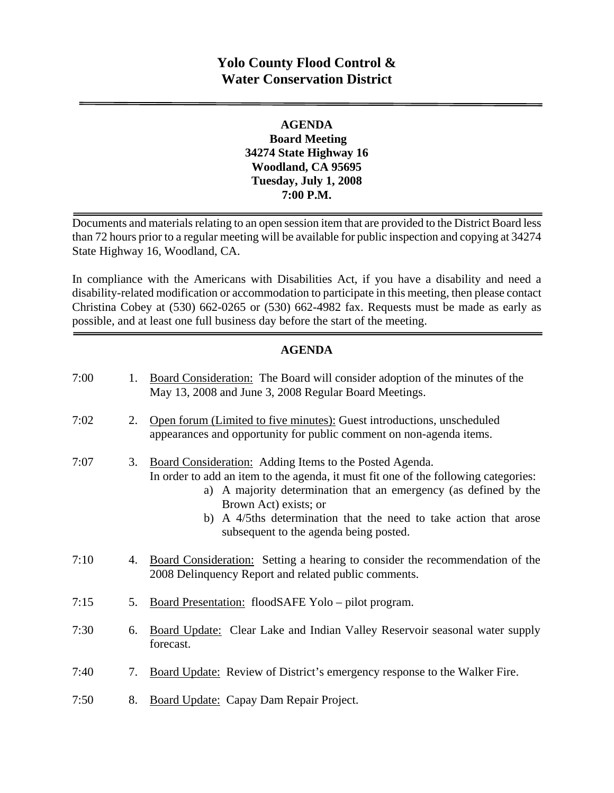# **Yolo County Flood Control & Water Conservation District**

#### **AGENDA Board Meeting 34274 State Highway 16 Woodland, CA 95695 Tuesday, July 1, 2008 7:00 P.M.**

Documents and materials relating to an open session item that are provided to the District Board less than 72 hours prior to a regular meeting will be available for public inspection and copying at 34274 State Highway 16, Woodland, CA.

In compliance with the Americans with Disabilities Act, if you have a disability and need a disability-related modification or accommodation to participate in this meeting, then please contact Christina Cobey at (530) 662-0265 or (530) 662-4982 fax. Requests must be made as early as possible, and at least one full business day before the start of the meeting.

#### **AGENDA**

| 7:00 | 1. | Board Consideration: The Board will consider adoption of the minutes of the<br>May 13, 2008 and June 3, 2008 Regular Board Meetings.                                                                                                                                                                                                                          |
|------|----|---------------------------------------------------------------------------------------------------------------------------------------------------------------------------------------------------------------------------------------------------------------------------------------------------------------------------------------------------------------|
| 7:02 | 2. | Open forum (Limited to five minutes): Guest introductions, unscheduled<br>appearances and opportunity for public comment on non-agenda items.                                                                                                                                                                                                                 |
| 7:07 | 3. | Board Consideration: Adding Items to the Posted Agenda.<br>In order to add an item to the agenda, it must fit one of the following categories:<br>a) A majority determination that an emergency (as defined by the<br>Brown Act) exists; or<br>A 4/5ths determination that the need to take action that arose<br>b)<br>subsequent to the agenda being posted. |
| 7:10 | 4. | Board Consideration: Setting a hearing to consider the recommendation of the<br>2008 Delinquency Report and related public comments.                                                                                                                                                                                                                          |
| 7:15 | 5. | Board Presentation: floodSAFE Yolo - pilot program.                                                                                                                                                                                                                                                                                                           |
| 7:30 | 6. | <b>Board Update:</b> Clear Lake and Indian Valley Reservoir seasonal water supply<br>forecast.                                                                                                                                                                                                                                                                |
| 7:40 | 7. | Board Update: Review of District's emergency response to the Walker Fire.                                                                                                                                                                                                                                                                                     |
| 7:50 | 8. | Board Update: Capay Dam Repair Project.                                                                                                                                                                                                                                                                                                                       |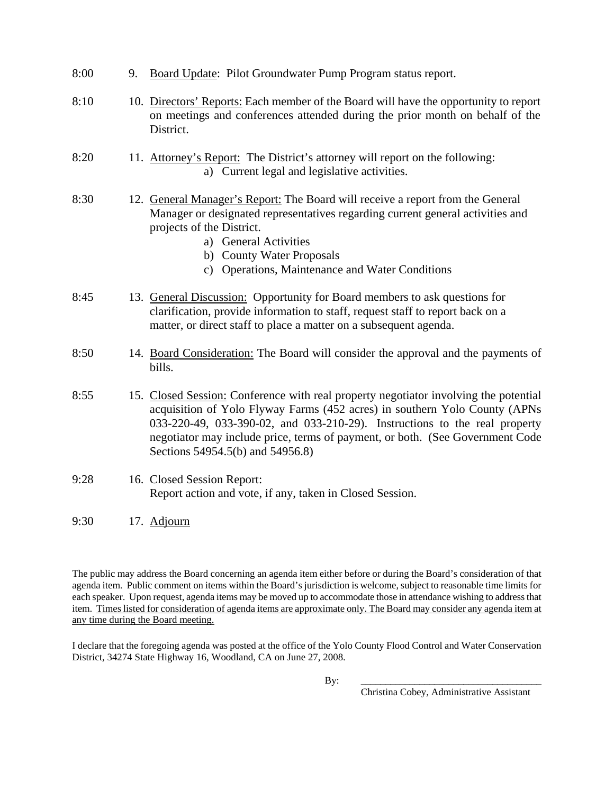- 8:00 9. Board Update: Pilot Groundwater Pump Program status report.
- 8:10 10. Directors' Reports: Each member of the Board will have the opportunity to report on meetings and conferences attended during the prior month on behalf of the District.
- 8:20 11. Attorney's Report: The District's attorney will report on the following: a) Current legal and legislative activities.
- 8:30 12. General Manager's Report: The Board will receive a report from the General Manager or designated representatives regarding current general activities and projects of the District.
	- a) General Activities
	- b) County Water Proposals
	- c) Operations, Maintenance and Water Conditions
- 8:45 13. General Discussion: Opportunity for Board members to ask questions for clarification, provide information to staff, request staff to report back on a matter, or direct staff to place a matter on a subsequent agenda.
- 8:50 14. Board Consideration: The Board will consider the approval and the payments of bills.
- 8:55 15. Closed Session: Conference with real property negotiator involving the potential acquisition of Yolo Flyway Farms (452 acres) in southern Yolo County (APNs 033-220-49, 033-390-02, and 033-210-29). Instructions to the real property negotiator may include price, terms of payment, or both. (See Government Code Sections 54954.5(b) and 54956.8)
- 9:28 16. Closed Session Report: Report action and vote, if any, taken in Closed Session.
- 9:30 17. Adjourn

The public may address the Board concerning an agenda item either before or during the Board's consideration of that agenda item. Public comment on items within the Board's jurisdiction is welcome, subject to reasonable time limits for each speaker. Upon request, agenda items may be moved up to accommodate those in attendance wishing to address that item. Times listed for consideration of agenda items are approximate only. The Board may consider any agenda item at any time during the Board meeting.

I declare that the foregoing agenda was posted at the office of the Yolo County Flood Control and Water Conservation District, 34274 State Highway 16, Woodland, CA on June 27, 2008.

By: \_\_\_\_\_\_\_\_\_\_\_\_\_\_\_\_\_\_\_\_\_\_\_\_\_\_\_\_\_\_\_\_\_\_\_\_\_

Christina Cobey, Administrative Assistant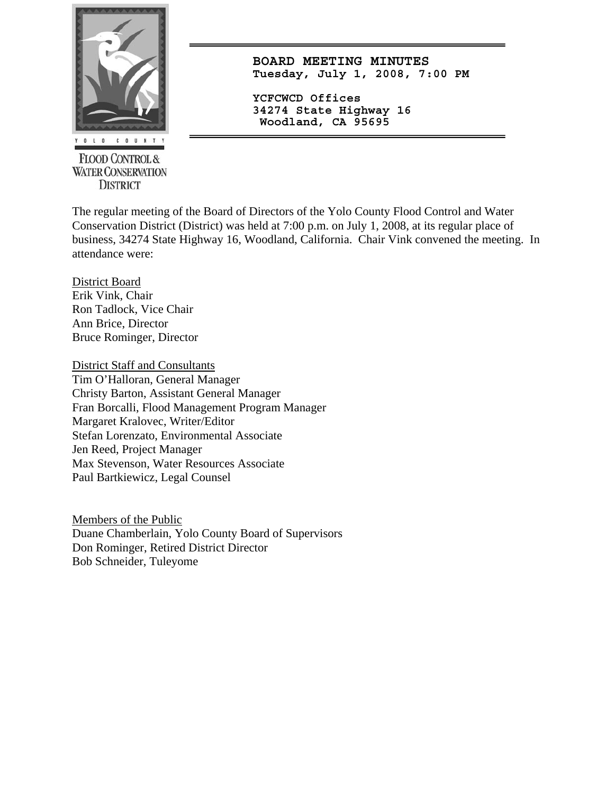

**FLOOD CONTROL & WATER CONSERVATION DISTRICT** 

**BOARD MEETING MINUTES Tuesday, July 1, 2008, 7:00 PM**

**YCFCWCD Offices 34274 State Highway 16 Woodland, CA 95695** 

The regular meeting of the Board of Directors of the Yolo County Flood Control and Water Conservation District (District) was held at 7:00 p.m. on July 1, 2008, at its regular place of business, 34274 State Highway 16, Woodland, California. Chair Vink convened the meeting. In attendance were:

District Board Erik Vink, Chair Ron Tadlock, Vice Chair Ann Brice, Director Bruce Rominger, Director

District Staff and Consultants Tim O'Halloran, General Manager Christy Barton, Assistant General Manager Fran Borcalli, Flood Management Program Manager Margaret Kralovec, Writer/Editor Stefan Lorenzato, Environmental Associate Jen Reed, Project Manager Max Stevenson, Water Resources Associate Paul Bartkiewicz, Legal Counsel

Members of the Public Duane Chamberlain, Yolo County Board of Supervisors Don Rominger, Retired District Director Bob Schneider, Tuleyome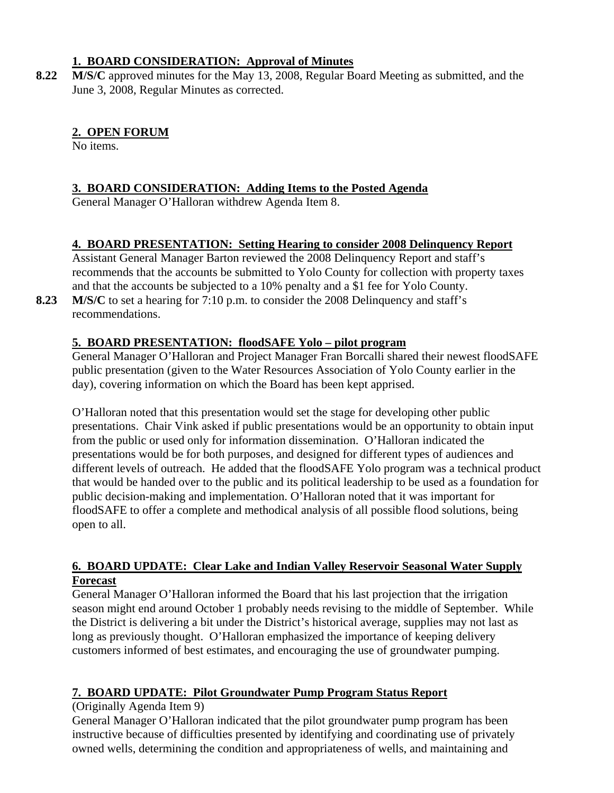#### **1. BOARD CONSIDERATION: Approval of Minutes**

**8.22 M/S/C** approved minutes for the May 13, 2008, Regular Board Meeting as submitted, and the June 3, 2008, Regular Minutes as corrected.

# **2. OPEN FORUM**

No items.

#### **3. BOARD CONSIDERATION: Adding Items to the Posted Agenda**

General Manager O'Halloran withdrew Agenda Item 8.

# **4. BOARD PRESENTATION: Setting Hearing to consider 2008 Delinquency Report**

Assistant General Manager Barton reviewed the 2008 Delinquency Report and staff's recommends that the accounts be submitted to Yolo County for collection with property taxes and that the accounts be subjected to a 10% penalty and a \$1 fee for Yolo County.

**8.23 M/S/C** to set a hearing for 7:10 p.m. to consider the 2008 Delinquency and staff's recommendations.

# **5. BOARD PRESENTATION: floodSAFE Yolo – pilot program**

General Manager O'Halloran and Project Manager Fran Borcalli shared their newest floodSAFE public presentation (given to the Water Resources Association of Yolo County earlier in the day), covering information on which the Board has been kept apprised.

O'Halloran noted that this presentation would set the stage for developing other public presentations. Chair Vink asked if public presentations would be an opportunity to obtain input from the public or used only for information dissemination. O'Halloran indicated the presentations would be for both purposes, and designed for different types of audiences and different levels of outreach. He added that the floodSAFE Yolo program was a technical product that would be handed over to the public and its political leadership to be used as a foundation for public decision-making and implementation. O'Halloran noted that it was important for floodSAFE to offer a complete and methodical analysis of all possible flood solutions, being open to all.

#### **6. BOARD UPDATE: Clear Lake and Indian Valley Reservoir Seasonal Water Supply Forecast**

General Manager O'Halloran informed the Board that his last projection that the irrigation season might end around October 1 probably needs revising to the middle of September. While the District is delivering a bit under the District's historical average, supplies may not last as long as previously thought. O'Halloran emphasized the importance of keeping delivery customers informed of best estimates, and encouraging the use of groundwater pumping.

# **7. BOARD UPDATE: Pilot Groundwater Pump Program Status Report**

# (Originally Agenda Item 9)

General Manager O'Halloran indicated that the pilot groundwater pump program has been instructive because of difficulties presented by identifying and coordinating use of privately owned wells, determining the condition and appropriateness of wells, and maintaining and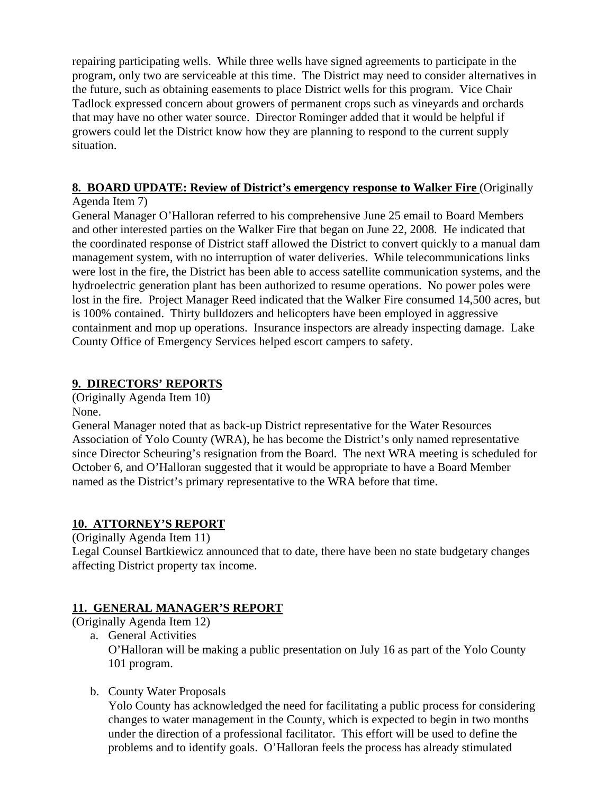repairing participating wells. While three wells have signed agreements to participate in the program, only two are serviceable at this time. The District may need to consider alternatives in the future, such as obtaining easements to place District wells for this program. Vice Chair Tadlock expressed concern about growers of permanent crops such as vineyards and orchards that may have no other water source. Director Rominger added that it would be helpful if growers could let the District know how they are planning to respond to the current supply situation.

#### **8. BOARD UPDATE: Review of District's emergency response to Walker Fire (Originally**

#### Agenda Item 7)

General Manager O'Halloran referred to his comprehensive June 25 email to Board Members and other interested parties on the Walker Fire that began on June 22, 2008. He indicated that the coordinated response of District staff allowed the District to convert quickly to a manual dam management system, with no interruption of water deliveries. While telecommunications links were lost in the fire, the District has been able to access satellite communication systems, and the hydroelectric generation plant has been authorized to resume operations. No power poles were lost in the fire. Project Manager Reed indicated that the Walker Fire consumed 14,500 acres, but is 100% contained. Thirty bulldozers and helicopters have been employed in aggressive containment and mop up operations. Insurance inspectors are already inspecting damage. Lake County Office of Emergency Services helped escort campers to safety.

# **9. DIRECTORS' REPORTS**

(Originally Agenda Item 10) None.

General Manager noted that as back-up District representative for the Water Resources Association of Yolo County (WRA), he has become the District's only named representative since Director Scheuring's resignation from the Board. The next WRA meeting is scheduled for October 6, and O'Halloran suggested that it would be appropriate to have a Board Member named as the District's primary representative to the WRA before that time.

# **10. ATTORNEY'S REPORT**

(Originally Agenda Item 11)

Legal Counsel Bartkiewicz announced that to date, there have been no state budgetary changes affecting District property tax income.

# **11. GENERAL MANAGER'S REPORT**

(Originally Agenda Item 12)

- a. General Activities O'Halloran will be making a public presentation on July 16 as part of the Yolo County 101 program.
- b. County Water Proposals

Yolo County has acknowledged the need for facilitating a public process for considering changes to water management in the County, which is expected to begin in two months under the direction of a professional facilitator. This effort will be used to define the problems and to identify goals. O'Halloran feels the process has already stimulated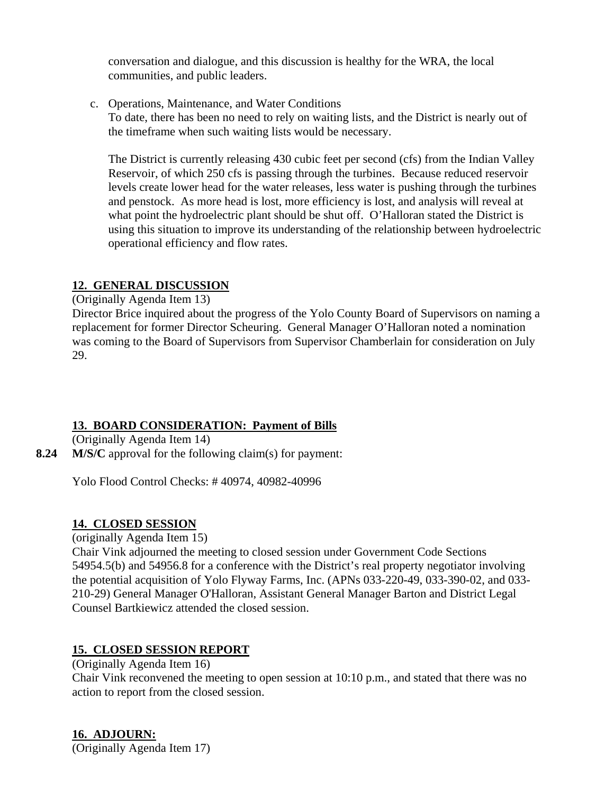conversation and dialogue, and this discussion is healthy for the WRA, the local communities, and public leaders.

c. Operations, Maintenance, and Water Conditions

To date, there has been no need to rely on waiting lists, and the District is nearly out of the timeframe when such waiting lists would be necessary.

The District is currently releasing 430 cubic feet per second (cfs) from the Indian Valley Reservoir, of which 250 cfs is passing through the turbines. Because reduced reservoir levels create lower head for the water releases, less water is pushing through the turbines and penstock. As more head is lost, more efficiency is lost, and analysis will reveal at what point the hydroelectric plant should be shut off. O'Halloran stated the District is using this situation to improve its understanding of the relationship between hydroelectric operational efficiency and flow rates.

#### **12. GENERAL DISCUSSION**

(Originally Agenda Item 13)

Director Brice inquired about the progress of the Yolo County Board of Supervisors on naming a replacement for former Director Scheuring. General Manager O'Halloran noted a nomination was coming to the Board of Supervisors from Supervisor Chamberlain for consideration on July 29.

# **13. BOARD CONSIDERATION: Payment of Bills**

(Originally Agenda Item 14)

**8.24 M/S/C** approval for the following claim(s) for payment:

Yolo Flood Control Checks: # 40974, 40982-40996

#### **14. CLOSED SESSION**

(originally Agenda Item 15)

Chair Vink adjourned the meeting to closed session under Government Code Sections 54954.5(b) and 54956.8 for a conference with the District's real property negotiator involving the potential acquisition of Yolo Flyway Farms, Inc. (APNs 033-220-49, 033-390-02, and 033- 210-29) General Manager O'Halloran, Assistant General Manager Barton and District Legal Counsel Bartkiewicz attended the closed session.

# **15. CLOSED SESSION REPORT**

(Originally Agenda Item 16)

Chair Vink reconvened the meeting to open session at 10:10 p.m., and stated that there was no action to report from the closed session.

**16. ADJOURN:** (Originally Agenda Item 17)